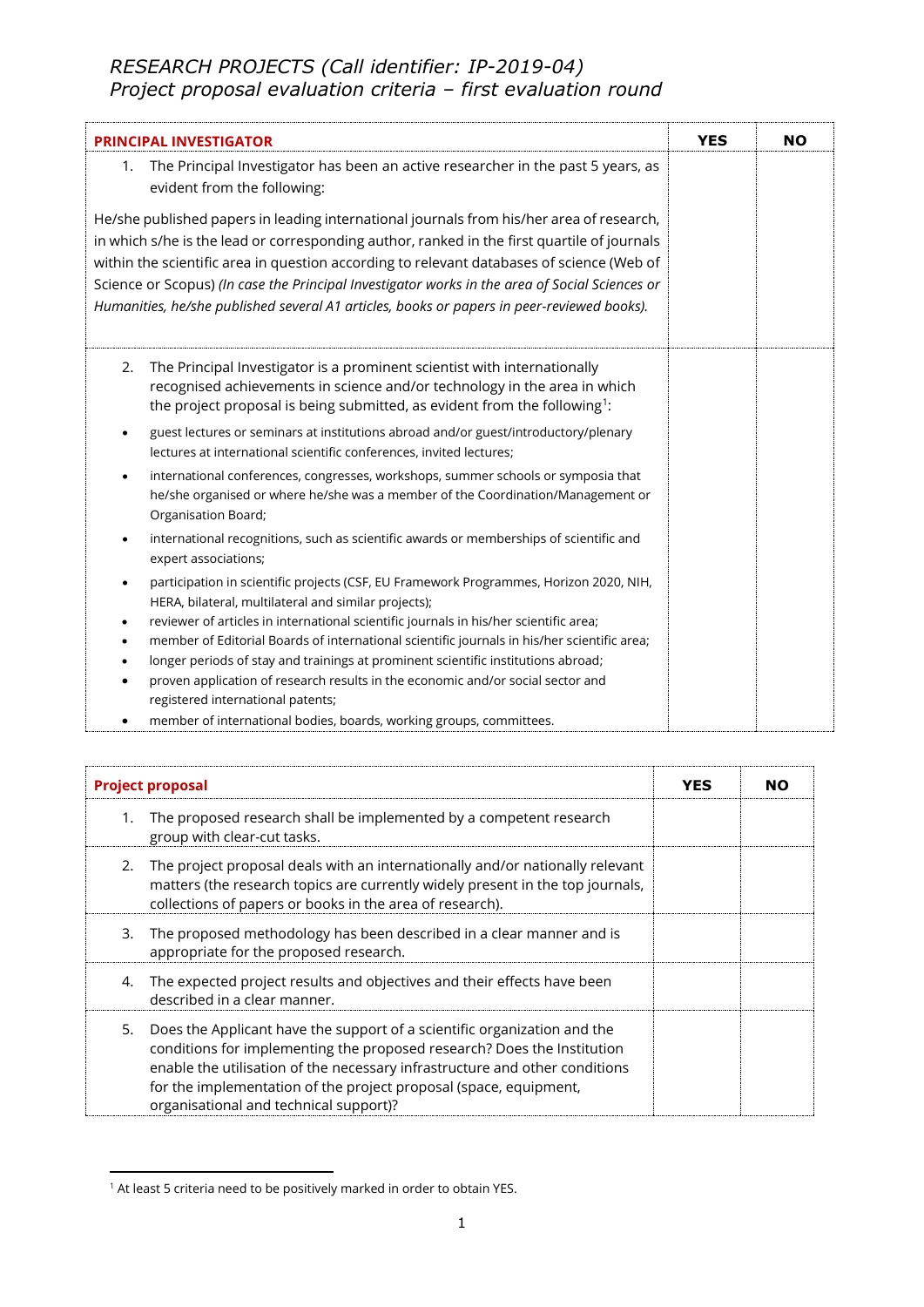## *RESEARCH PROJECTS (Call identifier: IP-2019-04) Project proposal evaluation criteria – first evaluation round*

| <b>PRINCIPAL INVESTIGATOR</b>                                                                                                                                                                                                                                                                                                                                                                                                                                                        |  | <b>NO</b> |
|--------------------------------------------------------------------------------------------------------------------------------------------------------------------------------------------------------------------------------------------------------------------------------------------------------------------------------------------------------------------------------------------------------------------------------------------------------------------------------------|--|-----------|
| The Principal Investigator has been an active researcher in the past 5 years, as<br>1.<br>evident from the following:                                                                                                                                                                                                                                                                                                                                                                |  |           |
| He/she published papers in leading international journals from his/her area of research,<br>in which s/he is the lead or corresponding author, ranked in the first quartile of journals<br>within the scientific area in question according to relevant databases of science (Web of<br>Science or Scopus) (In case the Principal Investigator works in the area of Social Sciences or<br>Humanities, he/she published several A1 articles, books or papers in peer-reviewed books). |  |           |
| The Principal Investigator is a prominent scientist with internationally<br>2.<br>recognised achievements in science and/or technology in the area in which<br>the project proposal is being submitted, as evident from the following <sup>1</sup> :                                                                                                                                                                                                                                 |  |           |
| guest lectures or seminars at institutions abroad and/or guest/introductory/plenary<br>٠<br>lectures at international scientific conferences, invited lectures;                                                                                                                                                                                                                                                                                                                      |  |           |
| international conferences, congresses, workshops, summer schools or symposia that<br>$\bullet$<br>he/she organised or where he/she was a member of the Coordination/Management or<br>Organisation Board;                                                                                                                                                                                                                                                                             |  |           |
| international recognitions, such as scientific awards or memberships of scientific and<br>٠<br>expert associations;                                                                                                                                                                                                                                                                                                                                                                  |  |           |
| participation in scientific projects (CSF, EU Framework Programmes, Horizon 2020, NIH,<br>HERA, bilateral, multilateral and similar projects);                                                                                                                                                                                                                                                                                                                                       |  |           |
| reviewer of articles in international scientific journals in his/her scientific area;<br>member of Editorial Boards of international scientific journals in his/her scientific area;<br>٠                                                                                                                                                                                                                                                                                            |  |           |
| longer periods of stay and trainings at prominent scientific institutions abroad;                                                                                                                                                                                                                                                                                                                                                                                                    |  |           |
| proven application of research results in the economic and/or social sector and<br>registered international patents;                                                                                                                                                                                                                                                                                                                                                                 |  |           |
| member of international bodies, boards, working groups, committees.                                                                                                                                                                                                                                                                                                                                                                                                                  |  |           |

| <b>Project proposal</b> |                                                                                                                                                                                                                                                                                                                                                   | <b>YES</b> | <b>NO</b> |
|-------------------------|---------------------------------------------------------------------------------------------------------------------------------------------------------------------------------------------------------------------------------------------------------------------------------------------------------------------------------------------------|------------|-----------|
| 1.                      | The proposed research shall be implemented by a competent research<br>group with clear-cut tasks.                                                                                                                                                                                                                                                 |            |           |
| 2.                      | The project proposal deals with an internationally and/or nationally relevant<br>matters (the research topics are currently widely present in the top journals,<br>collections of papers or books in the area of research).                                                                                                                       |            |           |
| 3.                      | The proposed methodology has been described in a clear manner and is<br>appropriate for the proposed research.                                                                                                                                                                                                                                    |            |           |
| 4.                      | The expected project results and objectives and their effects have been<br>described in a clear manner.                                                                                                                                                                                                                                           |            |           |
| 5.                      | Does the Applicant have the support of a scientific organization and the<br>conditions for implementing the proposed research? Does the Institution<br>enable the utilisation of the necessary infrastructure and other conditions<br>for the implementation of the project proposal (space, equipment,<br>organisational and technical support)? |            |           |

 $1$  At least 5 criteria need to be positively marked in order to obtain YES.

**.**